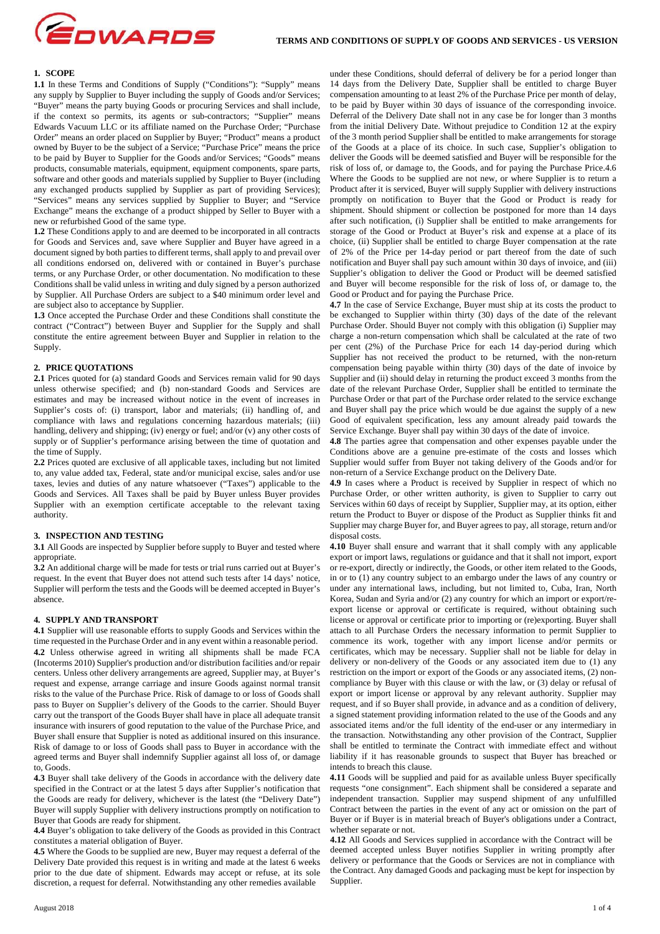

# **1. SCOPE**

**1.1** In these Terms and Conditions of Supply ("Conditions"): "Supply" means any supply by Supplier to Buyer including the supply of Goods and/or Services; "Buyer" means the party buying Goods or procuring Services and shall include, if the context so permits, its agents or sub-contractors; "Supplier" means Edwards Vacuum LLC or its affiliate named on the Purchase Order; "Purchase Order" means an order placed on Supplier by Buyer; "Product" means a product owned by Buyer to be the subject of a Service; "Purchase Price" means the price to be paid by Buyer to Supplier for the Goods and/or Services; "Goods" means products, consumable materials, equipment, equipment components, spare parts, software and other goods and materials supplied by Supplier to Buyer (including any exchanged products supplied by Supplier as part of providing Services); "Services" means any services supplied by Supplier to Buyer; and "Service Exchange" means the exchange of a product shipped by Seller to Buyer with a new or refurbished Good of the same type.

**1.2** These Conditions apply to and are deemed to be incorporated in all contracts for Goods and Services and, save where Supplier and Buyer have agreed in a document signed by both parties to different terms, shall apply to and prevail over all conditions endorsed on, delivered with or contained in Buyer's purchase terms, or any Purchase Order, or other documentation. No modification to these Conditions shall be valid unless in writing and duly signed by a person authorized by Supplier. All Purchase Orders are subject to a \$40 minimum order level and are subject also to acceptance by Supplier.

**1.3** Once accepted the Purchase Order and these Conditions shall constitute the contract ("Contract") between Buyer and Supplier for the Supply and shall constitute the entire agreement between Buyer and Supplier in relation to the Supply.

#### **2. PRICE QUOTATIONS**

**2.1** Prices quoted for (a) standard Goods and Services remain valid for 90 days unless otherwise specified; and (b) non-standard Goods and Services are estimates and may be increased without notice in the event of increases in Supplier's costs of: (i) transport, labor and materials; (ii) handling of, and compliance with laws and regulations concerning hazardous materials; (iii) handling, delivery and shipping; (iv) energy or fuel; and/or (v) any other costs of supply or of Supplier's performance arising between the time of quotation and the time of Supply.

**2.2** Prices quoted are exclusive of all applicable taxes, including but not limited to, any value added tax, Federal, state and/or municipal excise, sales and/or use taxes, levies and duties of any nature whatsoever ("Taxes") applicable to the Goods and Services. All Taxes shall be paid by Buyer unless Buyer provides Supplier with an exemption certificate acceptable to the relevant taxing authority.

## **3. INSPECTION AND TESTING**

**3.1** All Goods are inspected by Supplier before supply to Buyer and tested where appropriate.

**3.2** An additional charge will be made for tests or trial runs carried out at Buyer's request. In the event that Buyer does not attend such tests after 14 days' notice, Supplier will perform the tests and the Goods will be deemed accepted in Buyer's absence.

## **4. SUPPLY AND TRANSPORT**

**4.1** Supplier will use reasonable efforts to supply Goods and Services within the time requested in the Purchase Order and in any event within a reasonable period. **4.2** Unless otherwise agreed in writing all shipments shall be made FCA (Incoterms 2010) Supplier's production and/or distribution facilities and/or repair centers. Unless other delivery arrangements are agreed, Supplier may, at Buyer's request and expense, arrange carriage and insure Goods against normal transit risks to the value of the Purchase Price. Risk of damage to or loss of Goods shall pass to Buyer on Supplier's delivery of the Goods to the carrier. Should Buyer carry out the transport of the Goods Buyer shall have in place all adequate transit insurance with insurers of good reputation to the value of the Purchase Price, and Buyer shall ensure that Supplier is noted as additional insured on this insurance. Risk of damage to or loss of Goods shall pass to Buyer in accordance with the agreed terms and Buyer shall indemnify Supplier against all loss of, or damage to, Goods.

**4.3** Buyer shall take delivery of the Goods in accordance with the delivery date specified in the Contract or at the latest 5 days after Supplier's notification that the Goods are ready for delivery, whichever is the latest (the "Delivery Date") Buyer will supply Supplier with delivery instructions promptly on notification to Buyer that Goods are ready for shipment.

**4.4** Buyer's obligation to take delivery of the Goods as provided in this Contract constitutes a material obligation of Buyer.

**4.5** Where the Goods to be supplied are new, Buyer may request a deferral of the Delivery Date provided this request is in writing and made at the latest 6 weeks prior to the due date of shipment. Edwards may accept or refuse, at its sole discretion, a request for deferral. Notwithstanding any other remedies available

under these Conditions, should deferral of delivery be for a period longer than 14 days from the Delivery Date, Supplier shall be entitled to charge Buyer compensation amounting to at least 2% of the Purchase Price per month of delay, to be paid by Buyer within 30 days of issuance of the corresponding invoice. Deferral of the Delivery Date shall not in any case be for longer than 3 months from the initial Delivery Date. Without prejudice to Condition 12 at the expiry of the 3 month period Supplier shall be entitled to make arrangements for storage of the Goods at a place of its choice. In such case, Supplier's obligation to deliver the Goods will be deemed satisfied and Buyer will be responsible for the risk of loss of, or damage to, the Goods, and for paying the Purchase Price.4.6 Where the Goods to be supplied are not new, or where Supplier is to return a Product after it is serviced, Buyer will supply Supplier with delivery instructions promptly on notification to Buyer that the Good or Product is ready for shipment. Should shipment or collection be postponed for more than 14 days after such notification, (i) Supplier shall be entitled to make arrangements for storage of the Good or Product at Buyer's risk and expense at a place of its choice, (ii) Supplier shall be entitled to charge Buyer compensation at the rate of 2% of the Price per 14-day period or part thereof from the date of such notification and Buyer shall pay such amount within 30 days of invoice, and (iii) Supplier's obligation to deliver the Good or Product will be deemed satisfied and Buyer will become responsible for the risk of loss of, or damage to, the Good or Product and for paying the Purchase Price.

**4.7** In the case of Service Exchange, Buyer must ship at its costs the product to be exchanged to Supplier within thirty (30) days of the date of the relevant Purchase Order. Should Buyer not comply with this obligation (i) Supplier may charge a non-return compensation which shall be calculated at the rate of two per cent (2%) of the Purchase Price for each 14 day-period during which Supplier has not received the product to be returned, with the non-return compensation being payable within thirty (30) days of the date of invoice by Supplier and (ii) should delay in returning the product exceed 3 months from the date of the relevant Purchase Order, Supplier shall be entitled to terminate the Purchase Order or that part of the Purchase order related to the service exchange and Buyer shall pay the price which would be due against the supply of a new Good of equivalent specification, less any amount already paid towards the Service Exchange. Buyer shall pay within 30 days of the date of invoice.

**4.8** The parties agree that compensation and other expenses payable under the Conditions above are a genuine pre-estimate of the costs and losses which Supplier would suffer from Buyer not taking delivery of the Goods and/or for non-return of a Service Exchange product on the Delivery Date.

**4.9** In cases where a Product is received by Supplier in respect of which no Purchase Order, or other written authority, is given to Supplier to carry out Services within 60 days of receipt by Supplier, Supplier may, at its option, either return the Product to Buyer or dispose of the Product as Supplier thinks fit and Supplier may charge Buyer for, and Buyer agrees to pay, all storage, return and/or disposal costs.

**4.10** Buyer shall ensure and warrant that it shall comply with any applicable export or import laws, regulations or guidance and that it shall not import, export or re-export, directly or indirectly, the Goods, or other item related to the Goods, in or to (1) any country subject to an embargo under the laws of any country or under any international laws, including, but not limited to, Cuba, Iran, North Korea, Sudan and Syria and/or (2) any country for which an import or export/reexport license or approval or certificate is required, without obtaining such license or approval or certificate prior to importing or (re)exporting. Buyer shall attach to all Purchase Orders the necessary information to permit Supplier to commence its work, together with any import license and/or permits or certificates, which may be necessary. Supplier shall not be liable for delay in delivery or non-delivery of the Goods or any associated item due to (1) any restriction on the import or export of the Goods or any associated items, (2) noncompliance by Buyer with this clause or with the law, or (3) delay or refusal of export or import license or approval by any relevant authority. Supplier may request, and if so Buyer shall provide, in advance and as a condition of delivery, a signed statement providing information related to the use of the Goods and any associated items and/or the full identity of the end-user or any intermediary in the transaction. Notwithstanding any other provision of the Contract, Supplier shall be entitled to terminate the Contract with immediate effect and without liability if it has reasonable grounds to suspect that Buyer has breached or intends to breach this clause.

**4.11** Goods will be supplied and paid for as available unless Buyer specifically requests "one consignment". Each shipment shall be considered a separate and independent transaction. Supplier may suspend shipment of any unfulfilled Contract between the parties in the event of any act or omission on the part of Buyer or if Buyer is in material breach of Buyer's obligations under a Contract, whether separate or not.

**4.12** All Goods and Services supplied in accordance with the Contract will be deemed accepted unless Buyer notifies Supplier in writing promptly after delivery or performance that the Goods or Services are not in compliance with the Contract. Any damaged Goods and packaging must be kept for inspection by Supplier.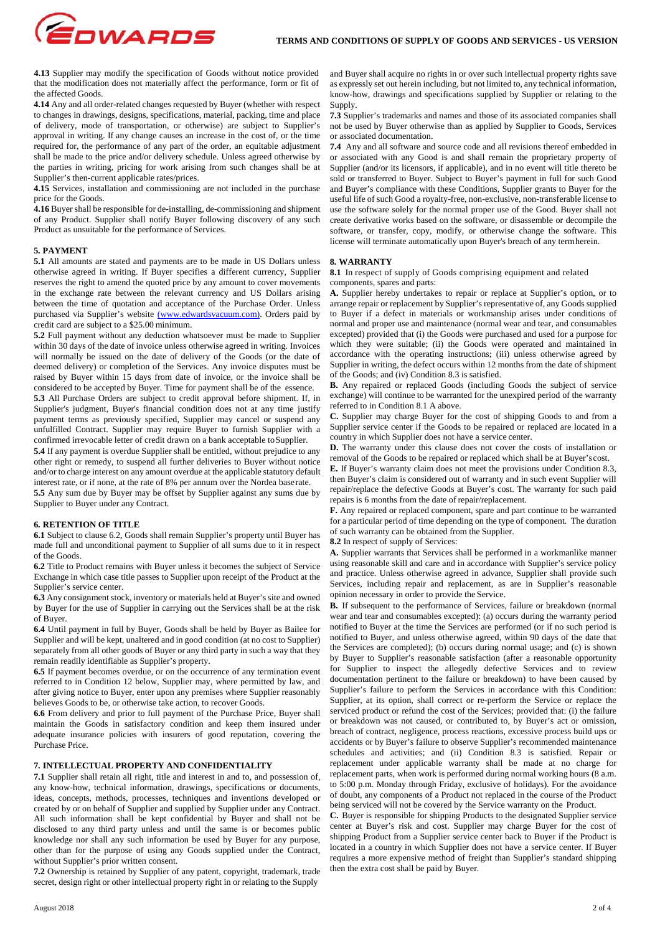

**4.13** Supplier may modify the specification of Goods without notice provided that the modification does not materially affect the performance, form or fit of the affected Goods.

**4.14** Any and all order-related changes requested by Buyer (whether with respect to changes in drawings, designs, specifications, material, packing, time and place of delivery, mode of transportation, or otherwise) are subject to Supplier's approval in writing. If any change causes an increase in the cost of, or the time required for, the performance of any part of the order, an equitable adjustment shall be made to the price and/or delivery schedule. Unless agreed otherwise by the parties in writing, pricing for work arising from such changes shall be at Supplier's then-current applicable rates/prices.

**4.15** Services, installation and commissioning are not included in the purchase price for the Goods.

**4.16** Buyer shall be responsible for de-installing, de-commissioning and shipment of any Product. Supplier shall notify Buyer following discovery of any such Product as unsuitable for the performance of Services.

#### **5. PAYMENT**

**5.1** All amounts are stated and payments are to be made in US Dollars unless otherwise agreed in writing. If Buyer specifies a different currency, Supplier reserves the right to amend the quoted price by any amount to cover movements in the exchange rate between the relevant currency and US Dollars arising between the time of quotation and acceptance of the Purchase Order. Unless purchased via Supplier's website (www.edwardsvacuum.com). Orders paid by credit card are subject to a \$25.00 minimum.

**5.2** Full payment without any deduction whatsoever must be made to Supplier within 30 days of the date of invoice unless otherwise agreed in writing. Invoices will normally be issued on the date of delivery of the Goods (or the date of deemed delivery) or completion of the Services. Any invoice disputes must be raised by Buyer within 15 days from date of invoice, or the invoice shall be considered to be accepted by Buyer. Time for payment shall be of the essence.

**5.3** All Purchase Orders are subject to credit approval before shipment. If, in Supplier's judgment. Buyer's financial condition does not at any time justify payment terms as previously specified, Supplier may cancel or suspend any unfulfilled Contract. Supplier may require Buyer to furnish Supplier with a confirmed irrevocable letter of credit drawn on a bank acceptable to Supplier.

**5.4** If any payment is overdue Supplier shall be entitled, without prejudice to any other right or remedy, to suspend all further deliveries to Buyer without notice and/or to charge interest on any amount overdue at the applicable statutory default interest rate, or if none, at the rate of 8% per annum over the Nordea base rate.

**5.5** Any sum due by Buyer may be offset by Supplier against any sums due by Supplier to Buyer under any Contract.

# **6. RETENTION OF TITLE**

**6.1** Subject to clause 6.2, Goods shall remain Supplier's property until Buyer has made full and unconditional payment to Supplier of all sums due to it in respect of the Goods.

**6.2** Title to Product remains with Buyer unless it becomes the subject of Service Exchange in which case title passes to Supplier upon receipt of the Product at the Supplier's service center.

**6.3** Any consignment stock, inventory or materials held at Buyer's site and owned by Buyer for the use of Supplier in carrying out the Services shall be at the risk of Buyer.

**6.4** Until payment in full by Buyer, Goods shall be held by Buyer as Bailee for Supplier and will be kept, unaltered and in good condition (at no cost to Supplier) separately from all other goods of Buyer or any third party in such a way that they remain readily identifiable as Supplier's property.

**6.5** If payment becomes overdue, or on the occurrence of any termination event referred to in Condition 12 below, Supplier may, where permitted by law, and after giving notice to Buyer, enter upon any premises where Supplier reasonably believes Goods to be, or otherwise take action, to recover Goods.

**6.6** From delivery and prior to full payment of the Purchase Price, Buyer shall maintain the Goods in satisfactory condition and keep them insured under adequate insurance policies with insurers of good reputation, covering the Purchase Price.

## **7. INTELLECTUAL PROPERTY AND CONFIDENTIALITY**

**7.1** Supplier shall retain all right, title and interest in and to, and possession of, any know-how, technical information, drawings, specifications or documents, ideas, concepts, methods, processes, techniques and inventions developed or created by or on behalf of Supplier and supplied by Supplier under any Contract. All such information shall be kept confidential by Buyer and shall not be disclosed to any third party unless and until the same is or becomes public knowledge nor shall any such information be used by Buyer for any purpose, other than for the purpose of using any Goods supplied under the Contract, without Supplier's prior written consent.

**7.2** Ownership is retained by Supplier of any patent, copyright, trademark, trade secret, design right or other intellectual property right in or relating to the Supply

and Buyer shall acquire no rights in or over such intellectual property rights save as expressly set out herein including, but not limited to, any technical information, know-how, drawings and specifications supplied by Supplier or relating to the Supply.

**7.3** Supplier's trademarks and names and those of its associated companies shall not be used by Buyer otherwise than as applied by Supplier to Goods, Services or associated documentation.

**7.4** Any and all software and source code and all revisions thereof embedded in or associated with any Good is and shall remain the proprietary property of Supplier (and/or its licensors, if applicable), and in no event will title thereto be sold or transferred to Buyer. Subject to Buyer's payment in full for such Good and Buyer's compliance with these Conditions, Supplier grants to Buyer for the useful life of such Good a royalty-free, non-exclusive, non-transferable license to use the software solely for the normal proper use of the Good. Buyer shall not create derivative works based on the software, or disassemble or decompile the software, or transfer, copy, modify, or otherwise change the software. This license will terminate automatically upon Buyer's breach of any term herein.

# **8. WARRANTY**

**8.1** In respect of supply of Goods comprising equipment and related components, spares and parts:

**A.** Supplier hereby undertakes to repair or replace at Supplier's option, or to arrange repair or replacement by Supplier's representative of, any Goods supplied to Buyer if a defect in materials or workmanship arises under conditions of normal and proper use and maintenance (normal wear and tear, and consumables excepted) provided that (i) the Goods were purchased and used for a purpose for which they were suitable; (ii) the Goods were operated and maintained in accordance with the operating instructions; (iii) unless otherwise agreed by Supplier in writing, the defect occurs within 12 months from the date of shipment of the Goods; and (iv) Condition 8.3 is satisfied.

**B.** Any repaired or replaced Goods (including Goods the subject of service exchange) will continue to be warranted for the unexpired period of the warranty referred to in Condition 8.1 A above.

**C.** Supplier may charge Buyer for the cost of shipping Goods to and from a Supplier service center if the Goods to be repaired or replaced are located in a country in which Supplier does not have a service center.

**D.** The warranty under this clause does not cover the costs of installation or removal of the Goods to be repaired or replaced which shall be at Buyer's cost.

**E.** If Buyer's warranty claim does not meet the provisions under Condition 8.3, then Buyer's claim is considered out of warranty and in such event Supplier will repair/replace the defective Goods at Buyer's cost. The warranty for such paid repairs is 6 months from the date of repair/replacement.

**F.** Any repaired or replaced component, spare and part continue to be warranted for a particular period of time depending on the type of component. The duration of such warranty can be obtained from the Supplier.

### **8.2** In respect of supply of Services:

**A.** Supplier warrants that Services shall be performed in a workmanlike manner using reasonable skill and care and in accordance with Supplier's service policy and practice. Unless otherwise agreed in advance, Supplier shall provide such Services, including repair and replacement, as are in Supplier's reasonable opinion necessary in order to provide the Service.

**B.** If subsequent to the performance of Services, failure or breakdown (normal wear and tear and consumables excepted): (a) occurs during the warranty period notified to Buyer at the time the Services are performed (or if no such period is notified to Buyer, and unless otherwise agreed, within 90 days of the date that the Services are completed); (b) occurs during normal usage; and (c) is shown by Buyer to Supplier's reasonable satisfaction (after a reasonable opportunity for Supplier to inspect the allegedly defective Services and to review documentation pertinent to the failure or breakdown) to have been caused by Supplier's failure to perform the Services in accordance with this Condition: Supplier, at its option, shall correct or re-perform the Service or replace the serviced product or refund the cost of the Services; provided that: (i) the failure or breakdown was not caused, or contributed to, by Buyer's act or omission, breach of contract, negligence, process reactions, excessive process build ups or accidents or by Buyer's failure to observe Supplier's recommended maintenance schedules and activities; and (ii) Condition 8.3 is satisfied. Repair or replacement under applicable warranty shall be made at no charge for replacement parts, when work is performed during normal working hours (8 a.m. to 5:00 p.m. Monday through Friday, exclusive of holidays). For the avoidance of doubt, any components of a Product not replaced in the course of the Product being serviced will not be covered by the Service warranty on the Product.

**C.** Buyer is responsible for shipping Products to the designated Supplier service center at Buyer's risk and cost. Supplier may charge Buyer for the cost of shipping Product from a Supplier service center back to Buyer if the Product is located in a country in which Supplier does not have a service center. If Buyer requires a more expensive method of freight than Supplier's standard shipping then the extra cost shall be paid by Buyer.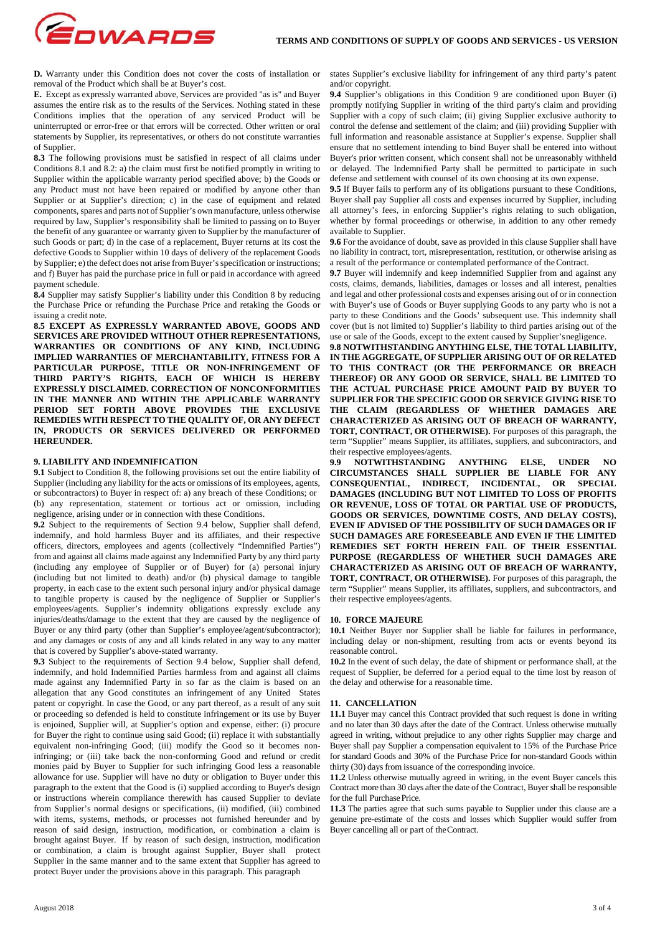GOWARDS **D.** Warranty under this Condition does not cover the costs of installation or

removal of the Product which shall be at Buyer's cost. **E.** Except as expressly warranted above, Services are provided "as is" and Buyer assumes the entire risk as to the results of the Services. Nothing stated in these Conditions implies that the operation of any serviced Product will be uninterrupted or error-free or that errors will be corrected. Other written or oral statements by Supplier, its representatives, or others do not constitute warranties of Supplier.

**8.3** The following provisions must be satisfied in respect of all claims under Conditions 8.1 and 8.2: a) the claim must first be notified promptly in writing to Supplier within the applicable warranty period specified above; b) the Goods or any Product must not have been repaired or modified by anyone other than Supplier or at Supplier's direction; c) in the case of equipment and related components, spares and parts not of Supplier's own manufacture, unless otherwise required by law, Supplier's responsibility shall be limited to passing on to Buyer the benefit of any guarantee or warranty given to Supplier by the manufacturer of such Goods or part; d) in the case of a replacement, Buyer returns at its cost the defective Goods to Supplier within 10 days of delivery of the replacement Goods by Supplier; e) the defect does not arise from Buyer's specification or instructions; and f) Buyer has paid the purchase price in full or paid in accordance with agreed payment schedule.

**8.4** Supplier may satisfy Supplier's liability under this Condition 8 by reducing the Purchase Price or refunding the Purchase Price and retaking the Goods or issuing a credit note.

**8.5 EXCEPT AS EXPRESSLY WARRANTED ABOVE, GOODS AND SERVICES ARE PROVIDED WITHOUT OTHER REPRESENTATIONS, WARRANTIES OR CONDITIONS OF ANY KIND, INCLUDING IMPLIED WARRANTIES OF MERCHANTABILITY, FITNESS FOR A PARTICULAR PURPOSE, TITLE OR NON-INFRINGEMENT OF THIRD PARTY'S RIGHTS, EACH OF WHICH IS HEREBY EXPRESSLY DISCLAIMED. CORRECTION OF NONCONFORMITIES IN THE MANNER AND WITHIN THE APPLICABLE WARRANTY PERIOD SET FORTH ABOVE PROVIDES THE EXCLUSIVE REMEDIES WITH RESPECT TO THE QUALITY OF, OR ANY DEFECT IN, PRODUCTS OR SERVICES DELIVERED OR PERFORMED HEREUNDER.** 

## **9. LIABILITY AND INDEMNIFICATION**

**9.1** Subject to Condition 8, the following provisions set out the entire liability of Supplier (including any liability for the acts or omissions of its employees, agents, or subcontractors) to Buyer in respect of: a) any breach of these Conditions; or (b) any representation, statement or tortious act or omission, including negligence, arising under or in connection with these Conditions.

**9.2** Subject to the requirements of Section 9.4 below, Supplier shall defend, indemnify, and hold harmless Buyer and its affiliates, and their respective officers, directors, employees and agents (collectively "Indemnified Parties") from and against all claims made against any Indemnified Party by any third party (including any employee of Supplier or of Buyer) for (a) personal injury (including but not limited to death) and/or (b) physical damage to tangible property, in each case to the extent such personal injury and/or physical damage to tangible property is caused by the negligence of Supplier or Supplier's employees/agents. Supplier's indemnity obligations expressly exclude any injuries/deaths/damage to the extent that they are caused by the negligence of Buyer or any third party (other than Supplier's employee/agent/subcontractor); and any damages or costs of any and all kinds related in any way to any matter that is covered by Supplier's above-stated warranty.

**9.3** Subject to the requirements of Section 9.4 below, Supplier shall defend, indemnify, and hold Indemnified Parties harmless from and against all claims made against any Indemnified Party in so far as the claim is based on an allegation that any Good constitutes an infringement of any United States patent or copyright. In case the Good, or any part thereof, as a result of any suit or proceeding so defended is held to constitute infringement or its use by Buyer is enjoined, Supplier will, at Supplier's option and expense, either: (i) procure for Buyer the right to continue using said Good; (ii) replace it with substantially equivalent non-infringing Good; (iii) modify the Good so it becomes noninfringing; or (iii) take back the non-conforming Good and refund or credit monies paid by Buyer to Supplier for such infringing Good less a reasonable allowance for use. Supplier will have no duty or obligation to Buyer under this paragraph to the extent that the Good is (i) supplied according to Buyer's design or instructions wherein compliance therewith has caused Supplier to deviate from Supplier's normal designs or specifications, (ii) modified, (iii) combined with items, systems, methods, or processes not furnished hereunder and by reason of said design, instruction, modification, or combination a claim is brought against Buyer. If by reason of such design, instruction, modification or combination, a claim is brought against Supplier, Buyer shall protect Supplier in the same manner and to the same extent that Supplier has agreed to protect Buyer under the provisions above in this paragraph. This paragraph

states Supplier's exclusive liability for infringement of any third party's patent and/or copyright.

**9.4** Supplier's obligations in this Condition 9 are conditioned upon Buyer (i) promptly notifying Supplier in writing of the third party's claim and providing Supplier with a copy of such claim; (ii) giving Supplier exclusive authority to control the defense and settlement of the claim; and (iii) providing Supplier with full information and reasonable assistance at Supplier's expense. Supplier shall ensure that no settlement intending to bind Buyer shall be entered into without Buyer's prior written consent, which consent shall not be unreasonably withheld or delayed. The Indemnified Party shall be permitted to participate in such defense and settlement with counsel of its own choosing at its own expense.

**9.5** If Buyer fails to perform any of its obligations pursuant to these Conditions, Buyer shall pay Supplier all costs and expenses incurred by Supplier, including all attorney's fees, in enforcing Supplier's rights relating to such obligation, whether by formal proceedings or otherwise, in addition to any other remedy available to Supplier.

**9.6** For the avoidance of doubt, save as provided in this clause Supplier shall have no liability in contract, tort, misrepresentation, restitution, or otherwise arising as a result of the performance or contemplated performance of the Contract.

**9.7** Buyer will indemnify and keep indemnified Supplier from and against any costs, claims, demands, liabilities, damages or losses and all interest, penalties and legal and other professional costs and expenses arising out of or in connection with Buyer's use of Goods or Buyer supplying Goods to any party who is not a party to these Conditions and the Goods' subsequent use. This indemnity shall cover (but is not limited to) Supplier's liability to third parties arising out of the use or sale of the Goods, except to the extent caused by Supplier's negligence.

**9.8 NOTWITHSTANDING ANYTHING ELSE, THE TOTAL LIABILITY, IN THE AGGREGATE, OF SUPPLIER ARISING OUT OF OR RELATED TO THIS CONTRACT (OR THE PERFORMANCE OR BREACH THEREOF) OR ANY GOOD OR SERVICE, SHALL BE LIMITED TO THE ACTUAL PURCHASE PRICE AMOUNT PAID BY BUYER TO SUPPLIER FOR THE SPECIFIC GOOD OR SERVICE GIVING RISE TO THE CLAIM (REGARDLESS OF WHETHER DAMAGES ARE CHARACTERIZED AS ARISING OUT OF BREACH OF WARRANTY, TORT, CONTRACT, OR OTHERWISE).** For purposes of this paragraph, the term "Supplier" means Supplier, its affiliates, suppliers, and subcontractors, and

their respective employees/agents.<br> **9.9** NOTWITHSTANDING **9.9 NOTWITHSTANDING ANYTHING ELSE, UNDER NO CIRCUMSTANCES SHALL SUPPLIER BE LIABLE FOR ANY CONSEQUENTIAL, INDIRECT, INCIDENTAL, OR SPECIAL DAMAGES (INCLUDING BUT NOT LIMITED TO LOSS OF PROFITS OR REVENUE, LOSS OF TOTAL OR PARTIAL USE OF PRODUCTS, GOODS OR SERVICES, DOWNTIME COSTS, AND DELAY COSTS), EVEN IF ADVISED OF THE POSSIBILITY OF SUCH DAMAGES OR IF SUCH DAMAGES ARE FORESEEABLE AND EVEN IF THE LIMITED REMEDIES SET FORTH HEREIN FAIL OF THEIR ESSENTIAL PURPOSE (REGARDLESS OF WHETHER SUCH DAMAGES ARE CHARACTERIZED AS ARISING OUT OF BREACH OF WARRANTY, TORT, CONTRACT, OR OTHERWISE).** For purposes of this paragraph, the term "Supplier" means Supplier, its affiliates, suppliers, and subcontractors, and their respective employees/agents.

#### **10. FORCE MAJEURE**

**10.1** Neither Buyer nor Supplier shall be liable for failures in performance, including delay or non-shipment, resulting from acts or events beyond its reasonable control.

**10.2** In the event of such delay, the date of shipment or performance shall, at the request of Supplier, be deferred for a period equal to the time lost by reason of the delay and otherwise for a reasonable time.

#### **11. CANCELLATION**

**11.1** Buyer may cancel this Contract provided that such request is done in writing and no later than 30 days after the date of the Contract. Unless otherwise mutually agreed in writing, without prejudice to any other rights Supplier may charge and Buyer shall pay Supplier a compensation equivalent to 15% of the Purchase Price for standard Goods and 30% of the Purchase Price for non-standard Goods within thirty (30) days from issuance of the corresponding invoice.

**11.2** Unless otherwise mutually agreed in writing, in the event Buyer cancels this Contract more than 30 days after the date of the Contract, Buyer shall be responsible for the full Purchase Price.

**11.3** The parties agree that such sums payable to Supplier under this clause are a genuine pre-estimate of the costs and losses which Supplier would suffer from Buyer cancelling all or part of the Contract.